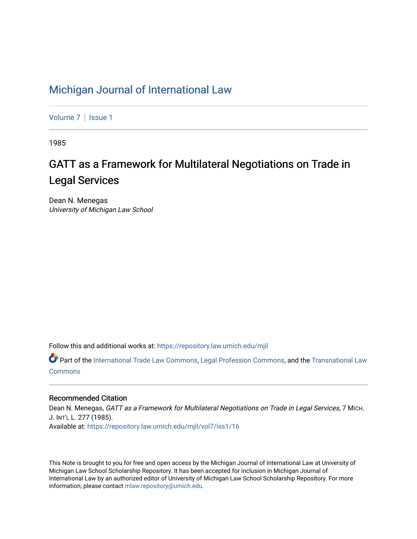### [Michigan Journal of International Law](https://repository.law.umich.edu/mjil)

[Volume 7](https://repository.law.umich.edu/mjil/vol7) | Issue 1

1985

# GATT as a Framework for Multilateral Negotiations on Trade in Legal Services

Dean N. Menegas University of Michigan Law School

Follow this and additional works at: [https://repository.law.umich.edu/mjil](https://repository.law.umich.edu/mjil?utm_source=repository.law.umich.edu%2Fmjil%2Fvol7%2Fiss1%2F16&utm_medium=PDF&utm_campaign=PDFCoverPages) 

Part of the [International Trade Law Commons](http://network.bepress.com/hgg/discipline/848?utm_source=repository.law.umich.edu%2Fmjil%2Fvol7%2Fiss1%2F16&utm_medium=PDF&utm_campaign=PDFCoverPages), [Legal Profession Commons,](http://network.bepress.com/hgg/discipline/1075?utm_source=repository.law.umich.edu%2Fmjil%2Fvol7%2Fiss1%2F16&utm_medium=PDF&utm_campaign=PDFCoverPages) and the [Transnational Law](http://network.bepress.com/hgg/discipline/1123?utm_source=repository.law.umich.edu%2Fmjil%2Fvol7%2Fiss1%2F16&utm_medium=PDF&utm_campaign=PDFCoverPages) [Commons](http://network.bepress.com/hgg/discipline/1123?utm_source=repository.law.umich.edu%2Fmjil%2Fvol7%2Fiss1%2F16&utm_medium=PDF&utm_campaign=PDFCoverPages)

#### Recommended Citation

Dean N. Menegas, GATT as a Framework for Multilateral Negotiations on Trade in Legal Services, 7 MICH. J. INT'L L. 277 (1985). Available at: [https://repository.law.umich.edu/mjil/vol7/iss1/16](https://repository.law.umich.edu/mjil/vol7/iss1/16?utm_source=repository.law.umich.edu%2Fmjil%2Fvol7%2Fiss1%2F16&utm_medium=PDF&utm_campaign=PDFCoverPages) 

This Note is brought to you for free and open access by the Michigan Journal of International Law at University of Michigan Law School Scholarship Repository. It has been accepted for inclusion in Michigan Journal of International Law by an authorized editor of University of Michigan Law School Scholarship Repository. For more information, please contact [mlaw.repository@umich.edu](mailto:mlaw.repository@umich.edu).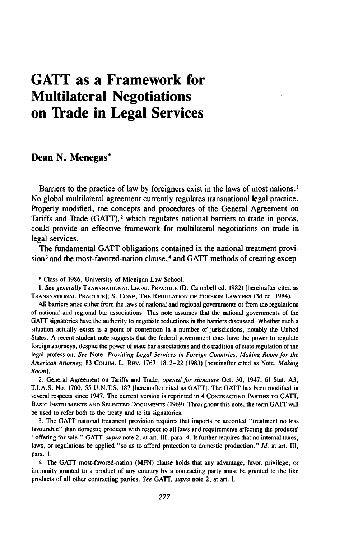## **GATT as a Framework for Multilateral Negotiations on Trade in Legal Services**

#### Dean **N.** Menegas\*

Barriers to the practice of law by foreigners exist in the laws of most nations.<sup>1</sup> No global multilateral agreement currently regulates transnational legal practice. Properly modified, the concepts and procedures of the General Agreement on Tariffs and Trade (GATT),<sup>2</sup> which regulates national barriers to trade in goods, could provide an effective framework for multilateral negotiations on trade in legal services.

The fundamental GATT obligations contained in the national treatment provision<sup>3</sup> and the most-favored-nation clause,<sup>4</sup> and GATT methods of creating excep-

\* Class of 1986, University of Michigan Law School.

*1.* See generally **TRANSNATIONAL LEGAL** PRACTICE **(D.** Campbell ed. **1982)** [hereinafter cited as **TRANSNATIONAL** PRACTICE]; S. CONE, THE **REGULATION** OF **FOREIGN** LAWYERS **(3d** ed. 1984).

All barriers arise either from the laws of national and regional governments or from the regulations of national and regional bar associations. This note assumes that the national governments of the GATT signatories have the authority to negotiate reductions in the barriers discussed. Whether such a situation actually exists is a point of contention in a number of jurisdictions, notably the United States. A recent student note suggests that the federal government does have the power to regulate foreign attorneys, despite the power of state bar associations and the tradition of state regulation of the legal profession. See Note, Providing *Legal Services in Foreign Countries: Making Room for the American Attorney,* 83 COLUM. L. REV. 1767, 1812-22 (1983) [hereinafter cited as Note, Making Room].

2. General Agreement on Tariffs and Tiade, *opened for signature* Oct. 30, 1947, 61 Stat. A3, T.I.A.S. No. 1700, 55 **U.N.T.S.** 187 [hereinafter cited as GATT]. The GATT has been modified in several respects since 1947. The current version is reprinted in 4 CONTRACTING PARTIES TO GATT, BASIC INSTRUMENTS **AND SELECTED** DOCUMENTS (1969). Throughout this note, the term GATT will be used to refer both to the treaty and to its signatories.

3. The GATT national treatment provision requires that imports be accorded "treatment no less favourable" than domestic products with respect to all laws and requirements affecting the products' "offering for sale." GATT, *supra* note 2, at art. II1, para. 4. It further requires that no internal taxes, laws, or regulations be applied "so as to afford protection to domestic production." *Id.* at art. **HI,** para. **1.**

4. The GATT most-favored-nation (MFN) clause holds that any advantage, favor, privilege, or immunity granted to a product of any country by a contracting party must be granted to the like products of all other contracting parties. *See* **GAT,** *supra* note 2, at art. I.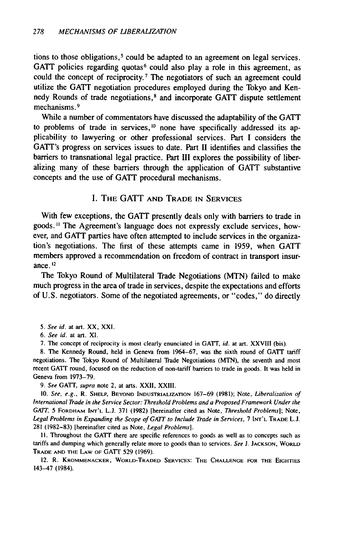tions to those obligations, 5 could be adapted to an agreement on legal services. GATT policies regarding quotas<sup>6</sup> could also play a role in this agreement, as could the concept of reciprocity.7 The negotiators of such an agreement could utilize the GATT negotiation procedures employed during the Tokyo and Kennedy Rounds of trade negotiations, 8 and incorporate GATT dispute settlement mechanisms. **9**

While a number of commentators have discussed the adaptability of the GATT to problems of trade in services, **0** none have specifically addressed its applicability to lawyering or other professional services. Part I considers the GATT's progress on services issues to date. **Panrt** II identifies and classifies the barriers to transnational legal practice. Part III explores the possibility of liberalizing many of these barriers through the application of GATT substantive concepts and the use of GATT procedural mechanisms.

#### I. **THE GATT AND TRADE IN SERVICES**

With few exceptions, the GATT presently deals only with barriers to trade in goods." The Agreement's language does not expressly exclude services, however, and GATT parties have often attempted to include services in the organization's negotiations. The first of these attempts came in 1959, when GATT members approved a recommendation on freedom of contract in transport insurance. 12

The Tokyo Round of Multilateral Trade Negotiations (MTN) failed to make much progress in the area of trade in services, despite the expectations and efforts of U.S. negotiators. Some of the negotiated agreements, or "codes," do directly

- *5.* See id. at art. XX, XXI.
- *6.* See id. at art. *Xl.*

7. The concept of reciprocity is most clearly enunciated in GATT, id. at art. XXVIII (bis).

8. The Kennedy Round, held in Geneva from 1964-67, was the sixth round of GATT tariff negotiations. The Tokyo Round of Multilateral Trade Negotiations (MTN), the seventh and most recent GATT round, focused on the reduction of non-tariff barriers to trade in goods. It was held in Geneva from 1973-79.

9. See GATT, supra note 2, at arts. XXII, XXIII.

**10.** See, e.g., R. **SHELP, BEYOND INDUSTRIALIZATION** 167-69 **(1981);** Note, Liberalization of International Trade in the Service Sector: Threshold Problems and a Proposed Framework Under the *GATT,* 5 FORDHAM **INT'L L.J.** 371 (1982) [hereinafter cited as Note, Threshold Problems]; Note, Legal Problems in Expanding the Scope of GATT to Include Trade in Services, 7 **INT'L** TRADE **L.J.** 281 (1982-83) [hereinafter cited as Note, Legal Problems].

II. Throughout the GATT there are specific references to goods as well as to concepts such as tariffs and dumping which generally relate more to goods than to services. See **J. JACKSON,** WORLD TRADE **AND THE** LAW OF GATT 529 (1969).

12. R. KROMMENACKER, WORLD-TRADED **SERVICES: THE CHALLENGE** FOR **THE** EIGHTIES 143-47 (1984).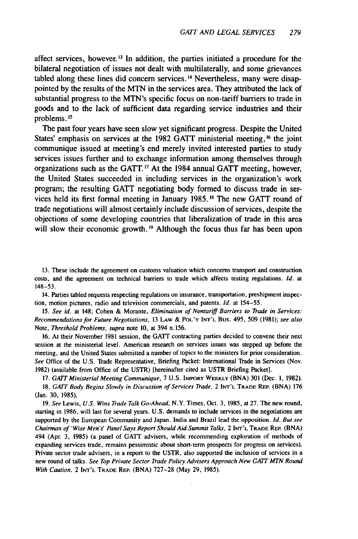affect services, however. **<sup>1</sup> <sup>3</sup>**In addition, the parties initiated a procedure for the bilateral negotiation of issues not dealt with multilaterally, and some grievances tabled along these lines did concern services.<sup>14</sup> Nevertheless, many were disappointed by the results of the MTN in the services area. They attributed the lack of substantial progress to the MTN's specific focus on non-tariff barriers to trade in goods and to the lack of sufficient data regarding service industries and their problems.<sup>15</sup>

The past four years have seen slow yet significant progress. Despite the United States' emphasis on services at the 1982 GATT ministerial meeting, <sup>16</sup> the joint communique issued at meeting's end merely invited interested parties to study services issues further and to exchange information among themselves through organizations such as the GATT.<sup>17</sup> At the 1984 annual GATT meeting, however, the United States succeeded in including services in the organization's work program; the resulting GATT negotiating body formed to discuss trade in services held its first formal meeting in January 1985.18 The new GATT round of trade negotiations will almost certainly include discussion of services, despite the objections of some developing countries that liberalization of trade in this area will slow their economic growth. **'9** Although the focus thus far has been upon

13. These include the agreement on customs valuation which concerns transport and construction costs, and the agreement on technical barriers to trade which affects testing regulations. *Id.* at 148-53.

14. Parties tabled requests respecting regulations on insurance, transportation, preshipment inspection, motion pictures, radio and television commercials, and patents. **Id.** at 154-55.

*15.* See id. at 148; Cohen & Morante, *Elimination of* Nontariff *Barriers to Trade in Services: Recommendations* for Future Negotiations, 13 LAW & **POL'Y INT'L** Bus. 495, 509 (1981); see also Note, *Threshold Problems, supra* note 10, at 394 n. 156.

16. At their November 1981 session, the GATT contracting parties decided to convene their next session at the ministerial level. American research on services issues was stepped up before the meeting, and the United States submitted a number of topics to the ministers for prior consideration. See Office of the U.S. Trade Representative, Briefing Packet: International Trade in Services (Nov. 1982) (available from Office of the USTR) [hereinafter cited as USTR Briefing Packet].

17. *GATT* Ministerial Meeting Communique, 7 U.S. IMPORT **WEEKLY** (BNA) 301 (Dec. **1,** 1982). 18. **GAIT** Body Begins Slowly in Discussion of Services Trade, 2 **INT'L** TRADE REP. (BNA) 176 (Jan. 30, 1985).

19. See Lewis, U.S. Wins Trade Talk Go-Ahead, N.Y. Times, Oct. 3, 1985, at 27. The new round, starting in 1986, will last for several years. U.S. demands to include services in the negotiations are supported by the European Community and Japan. India and Brazil lead the opposition. *Id. But see* Chairman of 'Wise Men's' Panel Says Report Should Aid Summit Talks, 2 lrr'L **TRADE** REP. (BNA) 494 (Apr. 3, 1985) (a panel of GATT advisers, while recommending exploration of methods of expanding services trade, remains pessimistic about short-term prospects for progress on services). Private sector trade advisers, in a report to the USTR, also supported the inclusion of services in a new round of talks. See Top Private Sector Trade Policy Advisers Approach New GAIT MTN Round With Caution, 2 **INT'L** TRADE REP. (BNA) 727-28 (May 29, 1985).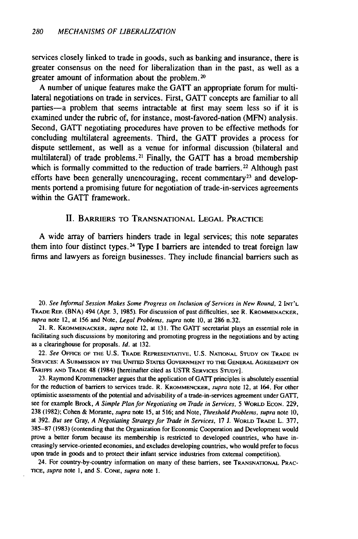services closely linked to trade in goods, such as banking and insurance, there is greater consensus on the need for liberalization than in the past, as well as a greater amount of information about the problem. <sup>20</sup>

A number of unique features make the GATT an appropriate forum for multilateral negotiations on trade in services. First, GATT concepts are familiar to all parties—a problem that seems intractable at first may seem less so if it is examined under the rubric of, for instance, most-favored-nation (MFN) analysis. Second, GATT negotiating procedures have proven to be effective methods for concluding multilateral agreements. Third, the GATT provides a process for dispute settlement, as well as a venue for informal discussion (bilateral and multilateral) of trade problems.<sup>21</sup> Finally, the GATT has a broad membership which is formally committed to the reduction of trade barriers.<sup>22</sup> Although past efforts have been generally unencouraging, recent commentary<sup>23</sup> and developments portend a promising future for negotiation of trade-in-services agreements within the GATT framework.

#### II. BARRIERS **TO TRANSNATIONAL LEGAL** PRACTICE

A wide array of barriers hinders trade in legal services; this note separates them into four distinct types. 24 Type I barriers are intended to treat foreign law firms and lawyers as foreign businesses. They include financial barriers such as

20. See Informal Session Makes Some Progress on Inclusion of Services in New Round, 2 **INT'L** TRADE REP. (BNA) 494 (Apr. 3, 1985). For discussion of past difficulties, see R. KROMMENACKER, supra note 12, at 156 and Note, Legal Problems, supra note 10, at 286 n.32.

21. R. KROMMENACKER, supra note 12, at 131. The GATT secretariat plays an essential role in facilitating such discussions by monitoring and promoting progress in the negotiations and by acting as a clearinghouse for proposals. **Id.** at 132.

22. See **OFFICE** OF **THE** U.S. **TRADE REPRESENTATIVE, U.S. NATIONAL STUDY ON TRADE IN** SERVICES: A **SUBMISSION BY THE** UNITED STATES **GOVERNMENT** TO **THE GENERAL AGREEMENT ON** TARIFFS **AND** TRADE 48 (1984) [hereinafter cited as USTR SERVICES STUDY].

23. Raymond Krommenacker argues that the application of **GATT** principles is absolutely essential for the reduction of barriers to services trade. R. KROMMENCKER, supra note 12, at 164. For other optimistic assessments of the potential and advisability of a trade-in-services agreement under **GATT,** see for example Brock, A Simple Plan for Negotiating on Trade in Services, 5 WORLD ECON. 229, 238 (1982); Cohen & Morante, supra note 15, at 516; and Note, Threshold Problems, supra note 10, at 392. But see Gray, A Negotiating Strategy for Trade in Services, **17** J. WORLD TRADE L. 377, **385-87** (1983) (contending that the Organization for Economic Cooperation and Development would prove a better forum because its membership is restricted to developed countries, who have increasingly service-oriented economies, and excludes developing countries, who would prefer to focus upon trade in goods and to protect their infant service industries from external competition).

24. For country-by-country information on many of these barriers, see **TRANSNATIONAL** PRAC-**TICE,** supra **note 1,** and **S. CONE,** supra note l.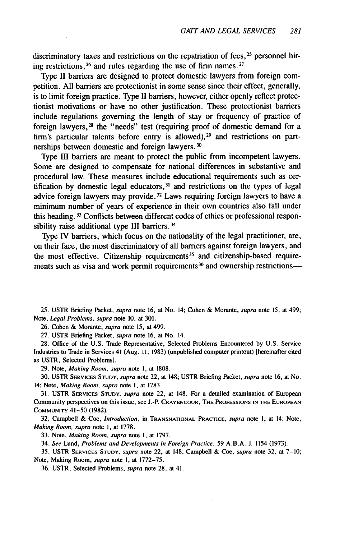discriminatory taxes and restrictions on the repatriation of fees, <sup>25</sup> personnel hiring restrictions,  $26$  and rules regarding the use of firm names.  $27$ 

Type II barriers are designed to protect domestic lawyers from foreign competition. All barriers are protectionist in some sense since their effect, generally, is to limit foreign practice. Type II barriers, however, either openly reflect protectionist motivations or have no other justification. These protectionist barriers include regulations governing the length of stay or frequency of practice of foreign lawyers,<sup>28</sup> the "needs" test (requiring proof of domestic demand for a firm's particular talents before entry is allowed),  $29$  and restrictions on partnerships between domestic and foreign lawyers.<sup>30</sup>

Type III barriers are meant to protect the public from incompetent lawyers. Some are designed to compensate for national differences in substantive and procedural law. These measures include educational requirements such as certification by domestic legal educators,  $31$  and restrictions on the types of legal advice foreign lawyers may provide.<sup>32</sup> Laws requiring foreign lawyers to have a minimum number of years of experience in their own countries also fall under this heading. 33 Conflicts between different codes of ethics or professional responsibility raise additional type III barriers.<sup>34</sup>

Type IV barriers, which focus on the nationality of the legal practitioner, are, on their face, the most discriminatory of all barriers against foreign lawyers, and the most effective. Citizenship requirements<sup>35</sup> and citizenship-based requirements such as visa and work permit requirements<sup>36</sup> and ownership restrictions-

25. USTR Briefing Packet, supra note 16, at No. 14; Cohen & Morante, supra note 15, at 499; Note, Legal Problems, supra note 10, at 301.

26. Cohen & Morante, supra note 15, at 499.

27. USTR Briefing Packet, supra note 16, at No. 14.

28. Office of the U.S. Trade Representative, Selected Problems Encountered by U.S. Service Industries to Trade in Services 41 (Aug. **11,** 1983) (unpublished computer printout) [hereinafter cited as USTR, Selected Problems].

29. Note, Making Room, supra note **I,** at 1808.

30. USTR SERVICES **STUoDY,** supra note 22, at 148; USTR Briefing Packet, supra note 16, at No. 14; Note, Making Room, supra note **1,** at 1783.

31. USTR SERVICES **STUDY,** supra note 22, at 148. For a detailed examination of European Community perspectives on this issue, see **J.-P. CRAYENCOUR, THE PROFESSIONS IN THE EUROPEAN COMMUNITY** 41-50 (1982).

**32.** Campbell & Coe, *Introduction,* in **TRANSNATIONAL PRACTICE,** supra note **1,** at 14; Note, Making Room, supra note **1,** at **1778.**

**33.** Note, Making Room, supra note **I,** at 1797.

34. See Lund, Problems and Developments in Foreign Practice, 59 A.B.A. J. 1154 **(1973).**

**35. USTR SERVICES STUDY,** supra note 22, at 148; Campbell & Coe, supra note **32,** at 7-10; Note, Making Room, supra note **1,** at 1772-75.

**36. USTR,** Selected Problems, supra note 28, at 41.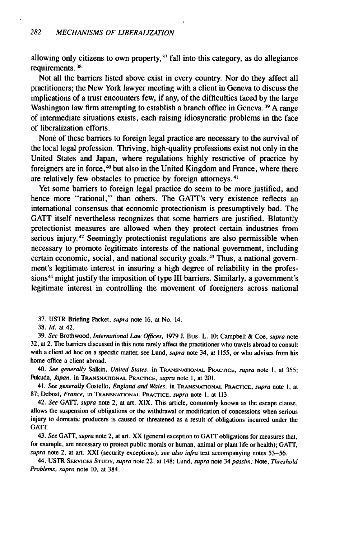allowing only citizens to own property,  $37$  fall into this category, as do allegiance requirements. **3 8**

Not all the barriers listed above exist in every country. Nor do they affect all practitioners; the New York lawyer meeting with a client in Geneva to discuss the implications of a trust encounters few, if any, of the difficulties faced by the large Washington law firm attempting to establish a branch office in Geneva. **39** A range of intermediate situations exists, each raising idiosyncratic problems in the face of liberalization efforts.

None of these barriers to foreign legal practice are necessary to the survival of the local legal profession. Thriving, high-quality professions exist not only in the United States and Japan, where regulations highly restrictive of practice by foreigners are in force,  $40$  but also in the United Kingdom and France, where there are relatively few obstacles to practice by foreign attorneys.<sup>4</sup>

Yet some barriers to foreign legal practice do seem to be more justified, and hence more "rational," than others. The GATT's very existence reflects an international consensus that economic protectionism is presumptively bad. The GATT itself nevertheless recognizes that some barriers are justified. Blatantly protectionist measures are allowed when they protect certain industries from serious injury.42 Seemingly protectionist regulations are also permissible when necessary to promote legitimate interests of the national government, including certain economic, social, and national security goals. 43 Thus, a national government's legitimate interest in insuring a high degree of reliability in the professions<sup>44</sup> might justify the imposition of type III barriers. Similarly, a government's legitimate interest in controlling the movement of foreigners across national

39. See Brothwood, *International* Law *Offices,* 1979 **J.** Bus. L. 10; Campbell & Coe, *supra* note 32, at 2. The barriers discussed in this note rarely affect the practitioner who travels abroad to consult with a client ad hoc on a specific matter, see Lund, supra note 34, at 1155, or who advises from his home office a client abroad.

40. See generally Salkin, United States, in **TRANSNATIONAL** PRAcTICE, supra note **I,** at 355; Fukuda, Japan, in **TRANSNATIONAL** PRACTICE, supra note **1,** at 201.

41. See generally Costello, England and Wales, in **TRANSNATIONAL PRACTICE,** supra note **1,** at 87; Debost, France, in **TRANSNATIONAL PRACTICE,** supra note **1,** at **113.**

42. See GATT, supra note 2, at art. XIX. This article, commonly known as the escape clause, allows the suspension of obligations or the withdrawal or modification of concessions when serious injury to domestic producers is caused or threatened as a result of obligations incurred under the **GATT.**

43. See **GATT,** supra note 2, at art. XX (general exception to GATT obligations for measures that, for example, are necessary to protect public morals or human, animal or plant life or health); GATT, supra note 2, at art. XXI (security exceptions); see also infra text accompanying notes 53-56.

44. USTR SERVICES **STUDY,** supra note 22, at 148; Lund, supra note 34 passim; Note, Threshold Problems, supra note 10, at 384.

<sup>37.</sup> USTR Briefing Packet, *supra* note 16, at No. 14.

<sup>38.</sup> *Id.* at 42.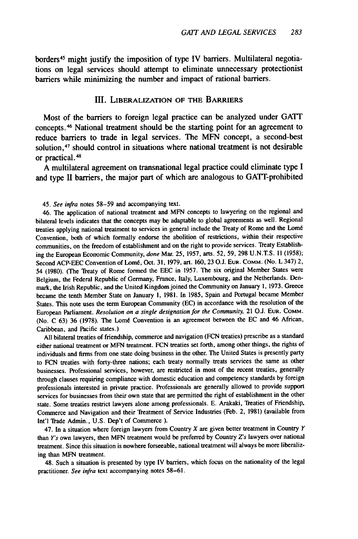borders 45 might justify the imposition of type IV barriers. Multilateral negotiations on legal services should attempt to eliminate unnecessary protectionist barriers while minimizing the number and impact of rational barriers.

#### **III.** LIBERALIZATION OF **THE** BARRIERS

Most of the barriers to foreign legal practice can be analyzed under **GATT** concepts. 46 National treatment should be the starting point for an agreement to reduce barriers to trade in legal services. The MFN concept, a second-best solution,<sup>47</sup> should control in situations where national treatment is not desirable or practical. <sup>48</sup>

A multilateral agreement on transnational legal practice could eliminate type I and type II barriers, the major part of which are analogous to GATT-prohibited

45. *See infra* notes 58-59 and accompanying text.

46. The application of national treatment and **MFN** concepts to lawyering on the regional and bilateral levels indicates that the concepts may be adaptable to global agreements as well. Regional treaties applying national treatment to services in general include the Treaty of Rome and the Lomé Convention, both of which formally endorse the abolition of restrictions, within their respective communities, on the freedom of establishment and on the right to provide services. Treaty Establishing the European Economic Community, *done* Mar. 25, 1957, arts. 52, 59, 298 U.N.T.S. 11 (1958); Second ACP-EEC Convention of Lomé, Oct. 31, 1979, art. 160, 23 О.J. ЕUR. Сомм. (No. L 347) 2, 54 (1980). (The Treaty of Rome formed the EEC in 1957. The six original Member States were Belgium, the Federal Republic of Germany, France, Italy, Luxembourg, and the Netherlands. Denmark, the Irish Republic, and the United Kingdom joined the Community on January 1, 1973. Greece became the tenth Member State on January 1, 1981. In 1985, Spain and Portugal became Member States. This note uses the term European Community (EC) in accordance with the resolution of the European Parliament. *Resolution on a single designation for the Community,* 21 O.J. **EUR. COMM.** (No. C 63) 36 (1978). The Lomé Convention is an agreement between the EC and 46 African, Caribbean, and Pacific states.)

All bilateral treaties of friendship, commerce and navigation (FCN treaties) prescribe as a standard either national treatment or MFN treatment. FCN treaties set forth, among other things, the rights of individuals and firms from one state doing business in the other. The United States is presently party to FCN treaties with forty-three nations; each treaty normally treats services the same as other businesses. Professional services, however, are restricted in most of the recent treaties, generally through clauses requiring compliance with domestic education and competency standards by foreign professionals interested in private practice. Professionals are generally allowed to provide support services for businesses from their own state that are permitted the right of establishment in the other state. Some treaties restrict lawyers alone among professionals. E. Arakaki, Treaties of Friendship, Commerce and Navigation and their Treatment of Service Industries (Feb. 2, 1981) (available from Int'l Tade Admin., U.S. Dep't of Commerce ).

47. In a situation where foreign lawyers from Country  $X$  are given better treatment in Country  $Y$ than *Y's* own lawyers, then MFN treatment would be preferred by Country *Z's* lawyers over national treatment. Since this situation is nowhere forseeable, national treatment will always be more liberalizing than MFN treatment.

48. Such a situation is presented by type IV barriers, which focus on the nationality of the legal practitioner. *See infra* text accompanying notes 58-61.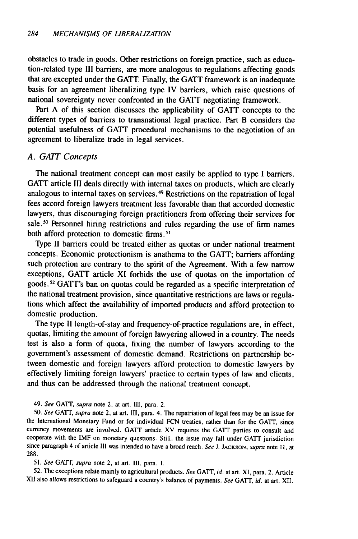obstacles to trade in goods. Other restrictions on foreign practice, such as education-related type III barriers, are more analogous to regulations affecting goods that are excepted under the GATT. Finally, the GATT framework is an inadequate basis for an agreement liberalizing type IV barriers, which raise questions of national sovereignty never confronted in the GATT negotiating framework.

Part A of this section discusses the applicability of GATT concepts to the different types of barriers to transnational legal practice. Part B considers the potential usefulness of GATT procedural mechanisms to the negotiation of an agreement to liberalize trade in legal services.

#### *A. GATT Concepts*

The national treatment concept can most easily be applied to type I barriers. GATT article III deals directly with internal taxes on products, which are clearly analogous to internal taxes on services. 49 Restrictions on the repatriation of legal fees accord foreign lawyers treatment less favorable than that accorded domestic lawyers, thus discouraging foreign practitioners from offering their services for sale.<sup>50</sup> Personnel hiring restrictions and rules regarding the use of firm names both afford protection to domestic firms.<sup>5</sup>

Type II barriers could be treated either as quotas or under national treatment concepts. Economic protectionism is anathema to the GATT; barriers affording such protection are contrary to the spirit of the Agreement. With a few narrow exceptions, GATT article XI forbids the use of quotas on the importation of goods.52 GATT's ban on quotas could be regarded as a specific interpretation of the national treatment provision, since quantitative restrictions are laws or regulations which affect the availability of imported products and afford protection to domestic production.

The type II length-of-stay and frequency-of-practice regulations are, in effect, quotas, limiting the amount of foreign lawyering allowed in a country. The needs test is also a form of quota, fixing the number of lawyers according to the government's assessment of domestic demand. Restrictions on partnership between domestic and foreign lawyers afford protection to domestic lawyers by effectively limiting foreign lawyers' practice to certain types of law and clients, and thus can be addressed through the national treatment concept.

49. See GATT, supra note 2, at art. III, para. 2.

50. See **GAlT,** supra note 2, at art. Ill, para. 4. The repatriation of legal fees may be an issue for the International Monetary Fund or for individual FCN treaties, rather than for the **GATT,** since currency movements are involved. GATT article XV requires the GATT parties to consult and cooperate with the IMF on monetary questions. Still, the issue may fall under GATT jurisdiction since paragraph 4 of article **III** was intended to have a broad reach. See J. **JACKSON,** supra note **11,** at 288.

51. *See* GATT, supra note 2, at art. **I11,** para. I.

52. The exceptions relate mainly to agricultural products. *See* GATT, id. at art. XI, para. 2. Article XII also allows restrictions to safeguard a country's balance of payments. *See* GATT, id. at art. XII.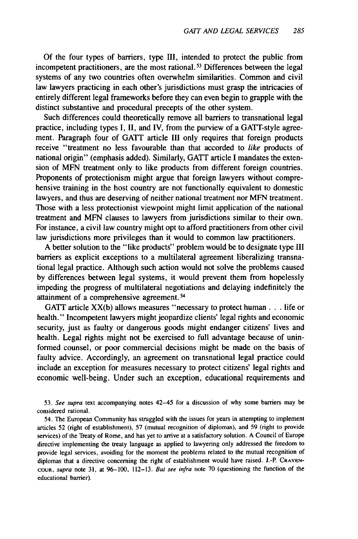Of the four types of barriers, type III, intended to protect the public from incompetent practitioners, are the most rational. 53 Differences between the legal systems of any two countries often overwhelm similarities. Common and civil law lawyers practicing in each other's jurisdictions must grasp the intricacies of entirely different legal frameworks before they can even begin to grapple with the distinct substantive and procedural precepts of the other system.

Such differences could theoretically remove all barriers to transnational legal practice, including types I, II, and IV, from the purview of a GATT-style agreement. Paragraph four of GATT article III only requires that foreign products receive "treatment no less favourable than that accorded to *like* products of national origin" (emphasis added). Similarly, GATT article I mandates the extension of MFN treatment only to like products from different foreign countries. Proponents of protectionism might argue that foreign lawyers without comprehensive training in the host country are not functionally equivalent to domestic lawyers, and thus are deserving of neither national treatment nor MFN treatment. Those with a less protectionist viewpoint might limit application of the national treatment and MFN clauses to lawyers from jurisdictions similar to their own. For instance, a civil law country might opt to afford practitioners from other civil law jurisdictions more privileges than it would to common law practitioners.

A better solution to the "like products" problem would be to designate type III barriers as explicit exceptions to a multilateral agreement liberalizing transnational legal practice. Although such action would not solve the problems caused by differences between legal systems, it would prevent them from hopelessly impeding the progress of multilateral negotiations and delaying indefinitely the attainment of a comprehensive agreement.<sup>54</sup>

GATT article XX(b) allows measures "necessary to protect human. **. .** life or health." Incompetent lawyers might jeopardize clients' legal rights and economic security, just as faulty or dangerous goods might endanger citizens' lives and health. Legal rights might not be exercised to full advantage because of uninformed counsel, or poor commercial decisions might be made on the basis of faulty advice. Accordingly, an agreement on transnational legal practice could include an exception for measures necessary to protect citizens' legal rights and economic well-being. Under such an exception, educational requirements and

53. See supra text accompanying notes 42-45 for a discussion of why some barriers may be considered rational.

54. The European Community has struggled with the issues for years in attempting to implement articles 52 (right of establishment), 57 (mutual recognition of diplomas), and 59 (right to provide services) of the Treaty of Rome, and has yet to arrive at a satisfactory solution. A Council of Europe directive implementing the treaty language as applied to lawyering only addressed the freedom to provide legal services, avoiding for the moment the problems related to the mutual recognition of diplomas that a directive concerning the right of establishment would have raised. J.-P. CRAYEN-**COUR,** supra note 31, at 96-100, 112-13. But see infra note 70 (questioning the function of the educational barrier).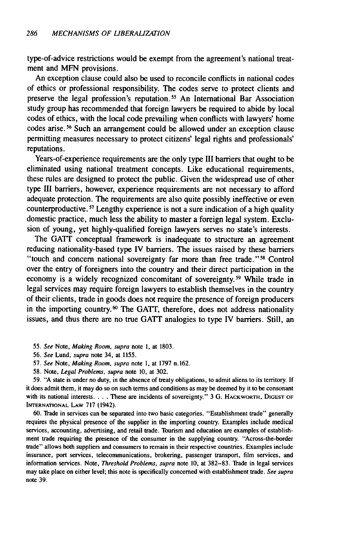type-of-advice restrictions would be exempt from the agreement's national treatment and MFN provisions.

An exception clause could also be used to reconcile conflicts in national codes of ethics or professional responsibility. The codes serve to protect clients and preserve the legal profession's reputation. 55 An International Bar Association study group has recommended that foreign lawyers be required to abide by local codes of ethics, with the local code prevailing when conflicts with lawyers' home codes arise. 56 Such an arrangement could be allowed under an exception clause permitting measures necessary to protect citizens' legal rights and professionals' reputations.

Years-of-experience requirements are the only type III barriers that ought to be eliminated using national treatment concepts. Like educational requirements, these rules are designed to protect the public. Given the widespread use of other type III barriers, however, experience requirements are not necessary to afford adequate protection. The requirements are also quite possibly ineffective or even counterproductive. **57** Lengthy experience is not a sure indication of a high quality domestic practice, much less the ability to master a foreign legal system. Exclusion of young, yet highly-qualified foreign lawyers serves no state's interests.

The GATT conceptual framework is inadequate to structure an agreement reducing nationality-based type IV barriers. The issues raised by these barriers "touch and concern national sovereignty far more than free trade.""8 Control over the entry of foreigners into the country and their direct participation in the economy is a widely recognized concomitant of sovereignty.<sup>59</sup> While trade in legal services may require foreign lawyers to establish themselves in the country of their clients, trade in goods does not require the presence of foreign producers in the importing country.<sup>60</sup> The GATT, therefore, does not address nationality issues, and thus there are no true GATT analogies to type IV barriers. Still, an

- 55. See Note, Making Room, supra note **1,** at 1803.
- 56. See Lund, supra note 34, at 1155.
- 57. See Note, Making Room, supra note 1, at 1797 n. 162.
- 58. Note, Legal Problems, supra note 10, at 302.

59. "A state is under no duty, in the absence of treaty obligations, to admit aliens to its territory. If it does admit them, it may do so on such terms and conditions as may be deemed by it to be consonant with its national interests **....** These are incidents of sovereignty." 3 G. HACKWORTH, DIGEST OF INTERNATIONAL LAW **717** (1942).

**60.** Tade in services can be separated into two basic categories. "Establishment trade" generally requires the physical presence of the supplier in the importing country. Examples include medical services, accounting, advertising, and retail trade. Tourism and education are examples of establishment trade requiring the presence of the consumer in the supplying country. "Across-the-border trade" allows both suppliers and consumers to remain in their respective countries. Examples include insurance, port services, telecommunications, brokering, passenger transport, film services, and information services. Note, Threshold Problems, supra note 10, at **382-83.** Trade in legal services may take place on either level; this note is specifically concerned with establishment trade. See supra note **39.**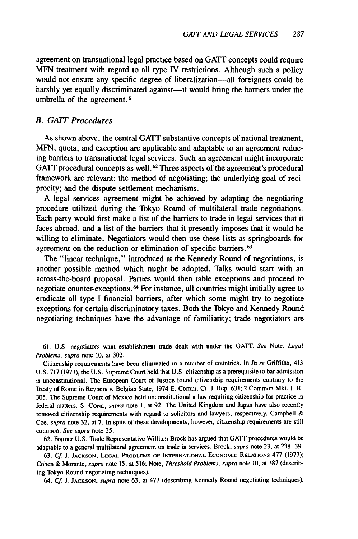agreement on transnational legal practice based on GATT concepts could require **MFN** treatment with regard to all type IV restrictions. Although such a policy would not ensure any specific degree of liberalization—all foreigners could be harshly yet equally discriminated against-it would bring the barriers under the umbrella of the agreement.<sup>61</sup>

#### *B. GAIT Procedures*

As shown above, the central GATT substantive concepts of national treatment, **MFN,** quota, and exception are applicable and adaptable to an agreement reducing barriers to transnational legal services. Such an agreement might incorporate GATT procedural concepts as well.<sup>62</sup> Three aspects of the agreement's procedural framework are relevant: the method of negotiating; the underlying goal of reciprocity; and the dispute settlement mechanisms.

A legal services agreement might be achieved **by** adapting the negotiating procedure utilized during the Tokyo Round of multilateral trade negotiations. Each party would first make a list of the barriers to trade in legal services that it faces abroad, and a list of the barriers that it presently imposes that it would be willing to eliminate. Negotiators would then use these lists as springboards for agreement on the reduction or elimination of specific barriers.<sup>63</sup>

The "linear technique," introduced at the Kennedy Round of negotiations, is another possible method which might be adopted. Talks would start with an across-the-board proposal. Parties would then table exceptions and proceed to negotiate counter-exceptions. **64** For instance, all countries might initially agree to eradicate all type I financial barriers, after which some might try to negotiate exceptions for certain discriminatory taxes. Both the Tokyo and Kennedy Round negotiating techniques have the advantage of familiarity; trade negotiators are

**61.** U.S. negotiators want establishment trade dealt with under the **GATT.** See Note, Legal Problems, supra note 10, at 302.

Citizenship requirements have been eliminated in a number of countries. In In re Griffiths, 413 U.S. **717** (1973), the U.S. Supreme Court held that U.S. citizenship as a prerequisite to bar admission is unconstitutional. The European Court of Justice found citizenship requirements contrary to the Treaty of Rome in Reyners v. Belgian State, 1974 E. Comm. Ct. **J.** Rep. 631; 2 Common Mkt. L.R. 305. The Supreme Court of Mexico held unconstitutional a law requiring citizenship for practice in federal matters. **S.** CONE, supra note **1,** at 92. The United Kingdom and Japan have also recently removed citizenship requirements with regard to solicitors and lawyers, respectively. Campbell & *Coe,* supra note **32,** at **7.** In spite of these developments, however, citizenship requirements are still common. See supra note 35.

**62.** Former U.S. Trade Representative William Brock has argued that GATT procedures would be adaptable to a general multilateral agreement on trade in services. Brock, supra note **23,** at 238-39.

**63.** Cf **J. JACKSON, LEGAL** PROBLEMS OF INTERNATIONAL ECONOMIC RELATIONS **477** (1977); Cohen & Morante, supra note 15, at 516; Note, Threshold Problems, supra note 10, at **387** (describing Tokyo Round negotiating techniques).

64. Cf **J. JACKSON,** supra note 63, at **477** (describing Kennedy Round negotiating techniques).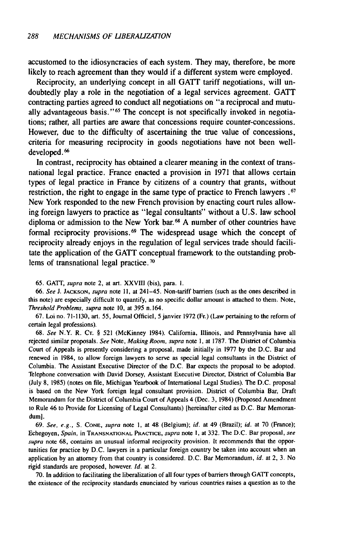accustomed to the idiosyncracies of each system. They may, therefore, be more likely to reach agreement than they would if a different system were employed.

Reciprocity, an underlying concept in all GATT tariff negotiations, will undoubtedly play a role in the negotiation of a legal services agreement. GATT contracting parties agreed to conduct all negotiations on "a reciprocal and mutually advantageous basis."<sup>65</sup> The concept is not specifically invoked in negotiations; rather, all parties are aware that concessions require counter-concessions. However, due to the difficulty of ascertaining the true value of concessions, criteria for measuring reciprocity in goods negotiations have not been welldeveloped. **66**

In contrast, reciprocity has obtained a clearer meaning in the context of transnational legal practice. France enacted a provision in 1971 that allows certain types of legal practice in France by citizens of a country that grants, without restriction, the right to engage in the same type of practice to French lawyers **.67** New York responded to the new French provision by enacting court rules allowing foreign lawyers to practice as "legal consultants" without a U.S. law school diploma or admission to the New York bar. **68** A number of other countries have formal reciprocity provisions. 69 The widespread usage which the concept of reciprocity already enjoys in the regulation of legal services trade should facilitate the application of the GATT conceptual framework to the outstanding problems of transnational legal practice.<sup>70</sup>

65. GATT, *supra* note 2, at art. XXVIII (bis), para. i.

*66. See* J. **JACKSON,** *supra* note **11,** at 241-45. Non-tariff barriers (such as the ones described in this note) are especially difficult to quantify, as no specific dollar amount is attached to them. Note, *Threshold Problems, supra* note 10, at 395 n. 164.

67. Loi no. 71-1130, art. 55, Journal Officiel, **5** janvier 1972 (Fr.) (Law pertaining to the reform of certain legal professions).

68. *See* N.Y. R. Cr. § 521 (McKinney 1984). California, Illinois, and Pennsylvania have all rejected similar proposals. *See* Note, *Making Room, supra* note **1,** at 1787. The District of Columbia Court of Appeals is presently considering a proposal, made initially in 1977 by the D.C. Bar and renewed in 1984, to allow foreign lawyers to serve as special legal consultants in the District of Columbia. The Assistant Executive Director of the D.C. Bar expects the proposal to be adopted. Telephone conversation with David Dorsey, Assistant Executive Director, District of Columbia Bar (July 8, 1985) (notes on file, Michigan Yearbook of International Legal Studies). The D.C. proposal is based on the New York foreign legal consultant provision. District of Columbia Bar, Draft Memorandum for the District of Columbia Court of Appeals 4 (Dec. 3, 1984) (Proposed Amendment to Rule 46 to Provide for Licensing of Legal Consultants) [hereinafter cited as D.C. Bar Memorandum].

69. *See, e.g.,* S. **CONE,** *supra* note **1,** at 48 (Belgium); *id.* at 49 (Brazil); *id.* at 70 (France); Echegoyen, *Spain,* in **TRANSNATIONAL** PRACriCE, *supra* note I, at 332. The D.C. Bar proposal, *see* supra note 68, contains an unusual informal reciprocity provision. It recommends that the opportunities for practice by D.C. lawyers in a particular foreign country be taken into account when an application by an attorney from that country is considered. D.C. Bar Memorandum, *id.* at 2, 3. No rigid standards are proposed, however. *Id.* at 2.

70. In addition to facilitating the liberalization of all four types of barriers through GAIT concepts, the existence of the reciprocity standards enunciated by various countries raises a question as to the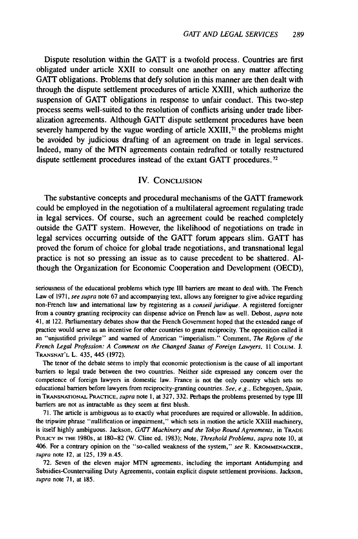Dispute resolution within the GATT is a twofold process. Countries are first obligated under article XXII to consult one another on any matter affecting GATT obligations. Problems that defy solution in this manner are then dealt with through the dispute settlement procedures of article XXIII, which authorize the suspension of GATT obligations in response to unfair conduct. This two-step process seems well-suited to the resolution of conflicts arising under trade liberalization agreements. Although GATT dispute settlement procedures have been severely hampered by the vague wording of article XXIII,<sup>71</sup> the problems might be avoided by judicious drafting of an agreement on trade in legal services. Indeed, many of the MTN agreements contain redrafted or totally restructured dispute settlement procedures instead of the extant GATT procedures. <sup>72</sup>

#### IV. **CONCLUSION**

The substantive concepts and procedural mechanisms of the GATT framework could be employed in the negotiation of a multilateral agreement regulating trade in legal services. Of course, such an agreement could be reached completely outside the GATT system. However, the likelihood of negotiations on trade in legal services occurring outside of the GATT forum appears slim. GATT has proved the forum of choice for global trade negotiations, and transnational legal practice is not so pressing an issue as to cause precedent to be shattered. Although the Organization for Economic Cooperation and Development (OECD),

The tenor of the debate seems to imply that economic protectionism is the cause of all important barriers to legal trade between the two countries. Neither side expressed any concern over the competence of foreign lawyers in domestic law. France is not the only country which sets no educational barriers before lawyers from reciprocity-granting countries. *See, e.g.,* Echegoyen, *Spain,* in **TRANSNATIONAL PRACTICE,** *supra* note 1, at 327, 332. Perhaps the problems presented **by** type **III** barriers are not as intractable as they seem at first blush.

**71.** The article is ambiguous as to exactly what procedures are required or allowable. In addition, the tripwire phrase "nullification or impairment," which sets in motion the article XXIII machinery, is itself **highly** ambiguous. Jackson, *GATT Machinery and the Tokyo Round Agreements,* in **TRADE** POLICY **IN THE** 1980s, at 180-82 (W. Cline ed. 1983); Note, *Threshold Problems, supra* note **10,** at 406. For a contrary opinion on the "so-called weakness of the system," *see* **R. KROMMENACKER,** *supra* note 12, at **125, 139** n.45.

**72.** Seven of the eleven major **MTN** agreements, including the important Antidumping and Subsidies-Countervailing Duty Agreements, contain explicit dispute settlement provisions. Jackson, *supra* note **71,** at 185.

seriousness of the educational problems which type **III** barriers are meant to deal with. The French Law of 1971, see supra note 67 and accompanying text, allows any foreigner to give advice regarding non-French law and international law by registering as a conseil juridique. A registered foreigner from a country granting reciprocity can dispense advice on French law as well. Debost, *supra* note 41, at 122. Parliamentary debates show that the French Government hoped that the extended range of practice would serve as an incentive for other countries to grant reciprocity. The opposition called it an "unjustified privilege" and warned of American "imperialism." Comment, The Reform *of the* French *Legal Profession: A Comment on the Changed Status of Foreign Lawyers,* 11 COLUM. J. **TRANSNAT'L** L. 435, 445 (1972).